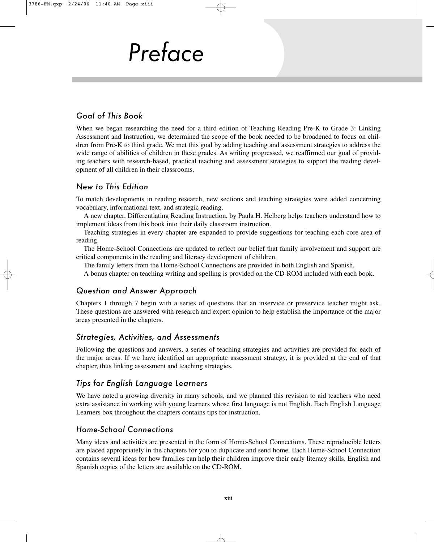# Preface

# Goal of This Book

When we began researching the need for a third edition of Teaching Reading Pre-K to Grade 3: Linking Assessment and Instruction, we determined the scope of the book needed to be broadened to focus on children from Pre-K to third grade. We met this goal by adding teaching and assessment strategies to address the wide range of abilities of children in these grades. As writing progressed, we reaffirmed our goal of providing teachers with research-based, practical teaching and assessment strategies to support the reading development of all children in their classrooms.

### New to This Edition

To match developments in reading research, new sections and teaching strategies were added concerning vocabulary, informational text, and strategic reading.

A new chapter, Differentiating Reading Instruction, by Paula H. Helberg helps teachers understand how to implement ideas from this book into their daily classroom instruction.

Teaching strategies in every chapter are expanded to provide suggestions for teaching each core area of reading.

The Home-School Connections are updated to reflect our belief that family involvement and support are critical components in the reading and literacy development of children.

The family letters from the Home-School Connections are provided in both English and Spanish.

A bonus chapter on teaching writing and spelling is provided on the CD-ROM included with each book.

### Question and Answer Approach

Chapters 1 through 7 begin with a series of questions that an inservice or preservice teacher might ask. These questions are answered with research and expert opinion to help establish the importance of the major areas presented in the chapters.

#### Strategies, Activities, and Assessments

Following the questions and answers, a series of teaching strategies and activities are provided for each of the major areas. If we have identified an appropriate assessment strategy, it is provided at the end of that chapter, thus linking assessment and teaching strategies.

# Tips for English Language Learners

We have noted a growing diversity in many schools, and we planned this revision to aid teachers who need extra assistance in working with young learners whose first language is not English. Each English Language Learners box throughout the chapters contains tips for instruction.

### Home-School Connections

Many ideas and activities are presented in the form of Home-School Connections. These reproducible letters are placed appropriately in the chapters for you to duplicate and send home. Each Home-School Connection contains several ideas for how families can help their children improve their early literacy skills. English and Spanish copies of the letters are available on the CD-ROM.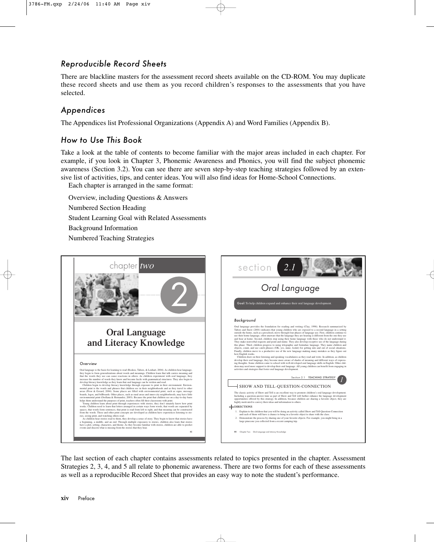# Reproducible Record Sheets

There are blackline masters for the assessment record sheets available on the CD-ROM. You may duplicate these record sheets and use them as you record children's responses to the assessments that you have selected.

## Appendices

The Appendices list Professional Organizations (Appendix A) and Word Families (Appendix B).

#### How to Use This Book

Take a look at the table of contents to become familiar with the major areas included in each chapter. For example, if you look in Chapter 3, Phonemic Awareness and Phonics, you will find the subject phonemic awareness (Section 3.2). You can see there are seven step-by-step teaching strategies followed by an extensive list of activities, tips, and center ideas. You will also find ideas for Home-School Connections.

Each chapter is arranged in the same format:

Overview, including Questions & Answers Numbered Section Heading Student Learning Goal with Related Assessments Background Information Numbered Teaching Strategies



The last section of each chapter contains assessments related to topics presented in the chapter. Assessment Strategies 2, 3, 4, and 5 all relate to phonemic awareness. There are two forms for each of these assessments as well as a reproducible Record Sheet that provides an easy way to note the student's performance.